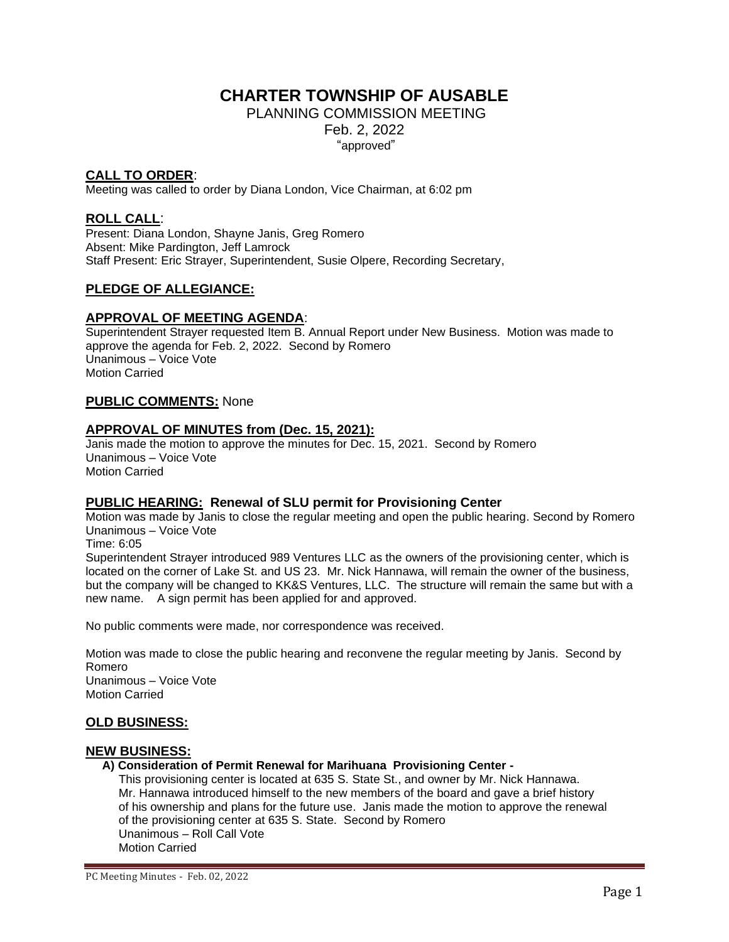# **CHARTER TOWNSHIP OF AUSABLE**

PLANNING COMMISSION MEETING Feb. 2, 2022 "approved"

# **CALL TO ORDER**:

Meeting was called to order by Diana London, Vice Chairman, at 6:02 pm

# **ROLL CALL**:

Present: Diana London, Shayne Janis, Greg Romero Absent: Mike Pardington, Jeff Lamrock Staff Present: Eric Strayer, Superintendent, Susie Olpere, Recording Secretary,

# **PLEDGE OF ALLEGIANCE:**

# **APPROVAL OF MEETING AGENDA**:

Superintendent Strayer requested Item B. Annual Report under New Business. Motion was made to approve the agenda for Feb. 2, 2022. Second by Romero Unanimous – Voice Vote Motion Carried

#### **PUBLIC COMMENTS:** None

#### **APPROVAL OF MINUTES from (Dec. 15, 2021):**

Janis made the motion to approve the minutes for Dec. 15, 2021. Second by Romero Unanimous – Voice Vote Motion Carried

### **PUBLIC HEARING: Renewal of SLU permit for Provisioning Center**

Motion was made by Janis to close the regular meeting and open the public hearing. Second by Romero Unanimous – Voice Vote

Time: 6:05

Superintendent Strayer introduced 989 Ventures LLC as the owners of the provisioning center, which is located on the corner of Lake St. and US 23. Mr. Nick Hannawa, will remain the owner of the business, but the company will be changed to KK&S Ventures, LLC. The structure will remain the same but with a new name. A sign permit has been applied for and approved.

No public comments were made, nor correspondence was received.

Motion was made to close the public hearing and reconvene the regular meeting by Janis. Second by Romero Unanimous – Voice Vote Motion Carried

#### **OLD BUSINESS:**

#### **NEW BUSINESS:**

#### **A) Consideration of Permit Renewal for Marihuana Provisioning Center -**

 This provisioning center is located at 635 S. State St., and owner by Mr. Nick Hannawa. Mr. Hannawa introduced himself to the new members of the board and gave a brief history of his ownership and plans for the future use. Janis made the motion to approve the renewal of the provisioning center at 635 S. State. Second by Romero Unanimous – Roll Call Vote Motion Carried